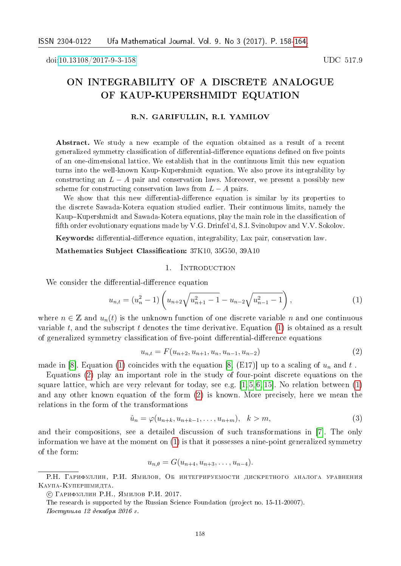doi[:10.13108/2017-9-3-158](http://dx.doi.org/10.13108/2017-9-3-158) UDC 517.9

# ON INTEGRABILITY OF A DISCRETE ANALOGUE OF KAUP-KUPERSHMIDT EQUATION

## R.N. GARIFULLIN, R.I. YAMILOV

Abstract. We study a new example of the equation obtained as a result of a recent generalized symmetry classification of differential-difference equations defined on five points of an one-dimensional lattice. We establish that in the continuous limit this new equation turns into the well-known Kaup-Kupershmidt equation. We also prove its integrability by constructing an  $L - A$  pair and conservation laws. Moreover, we present a possibly new scheme for constructing conservation laws from  $L - A$  pairs.

We show that this new differential-difference equation is similar by its properties to the discrete Sawada-Kotera equation studied earlier. Their continuous limits, namely the Kaup–Kupershmidt and Sawada-Kotera equations, play the main role in the classification of fifth order evolutionary equations made by V.G. Drinfel'd, S.I. Svinolupov and V.V. Sokolov.

Keywords: differential-difference equation, integrability, Lax pair, conservation law.

Mathematics Subject Classification: 37K10, 35G50, 39A10

#### 1. INTRODUCTION

We consider the differential-difference equation

<span id="page-0-0"></span>
$$
u_{n,t} = (u_n^2 - 1) \left( u_{n+2} \sqrt{u_{n+1}^2 - 1} - u_{n-2} \sqrt{u_{n-1}^2 - 1} \right),
$$
\n(1)

where  $n \in \mathbb{Z}$  and  $u_n(t)$  is the unknown function of one discrete variable *n* and one continuous variable t, and the subscript t denotes the time derivative. Equation  $(1)$  is obtained as a result of generalized symmetry classification of five-point differential-difference equations

<span id="page-0-1"></span>
$$
u_{n,t} = F(u_{n+2}, u_{n+1}, u_n, u_{n-1}, u_{n-2})
$$
\n<sup>(2)</sup>

made in [\[8\]](#page-5-0). Equation [\(1\)](#page-0-0) coincides with the equation [\[8,](#page-5-0) (E17)] up to a scaling of  $u_n$  and  $t$ .

Equations [\(2\)](#page-0-1) play an important role in the study of four-point discrete equations on the square lattice, which are very relevant for today, see e.g.  $[1, 5, 6, 15]$  $[1, 5, 6, 15]$  $[1, 5, 6, 15]$  $[1, 5, 6, 15]$ . No relation between  $(1)$ and any other known equation of the form [\(2\)](#page-0-1) is known. More precisely, here we mean the relations in the form of the transformations

<span id="page-0-2"></span>
$$
\hat{u}_n = \varphi(u_{n+k}, u_{n+k-1}, \dots, u_{n+m}), \quad k > m,\tag{3}
$$

and their compositions, see a detailed discussion of such transformations in [\[7\]](#page-5-4). The only information we have at the moment on [\(1\)](#page-0-0) is that it possesses a nine-point generalized symmetry of the form:

 $u_{n,\theta} = G(u_{n+4}, u_{n+3}, \ldots, u_{n-4}).$ 

Р.Н. Гарифуллин, Р.И. Ямилов, Об интегрируемости дискретного аналога уравнения Каупа-Купершмидта.

<sup>○</sup>c Гарифуллин Р.Н., Ямилов Р.И. 2017.

The research is supported by the Russian Science Foundation (project no. 15-11-20007).

Поступила 12 декабря 2016 г.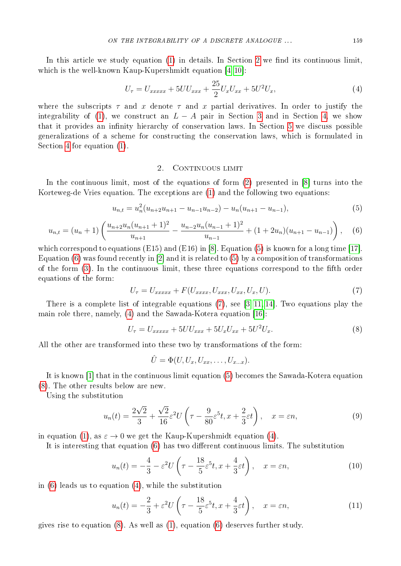In this article we study equation [\(1\)](#page-0-0) in details. In Section [2](#page-1-0) we find its continuous limit, which is the well-known Kaup-Kupershmidt equation [\[4,](#page-5-5) [10\]](#page-5-6):

<span id="page-1-4"></span>
$$
U_{\tau} = U_{xxxxx} + 5UU_{xxx} + \frac{25}{2}U_xU_{xx} + 5U^2U_x, \tag{4}
$$

where the subscripts  $\tau$  and  $x$  denote  $\tau$  and  $x$  partial derivatives. In order to justify the integrability of [\(1\)](#page-0-0), we construct an  $L - A$  pair in Section [3](#page-2-0) and in Section [4,](#page-3-0) we show that it provides an infinity hierarchy of conservation laws. In Section [5](#page-4-0) we discuss possible generalizations of a scheme for constructing the conservation laws, which is formulated in Section [4](#page-3-0) for equation [\(1\)](#page-0-0).

## 2. CONTINUOUS LIMIT

<span id="page-1-0"></span>In the continuous limit, most of the equations of form [\(2\)](#page-0-1) presented in [\[8\]](#page-5-0) turns into the Korteweg-de Vries equation. The exceptions are [\(1\)](#page-0-0) and the following two equations:

<span id="page-1-1"></span>
$$
u_{n,t} = u_n^2 (u_{n+2} u_{n+1} - u_{n-1} u_{n-2}) - u_n (u_{n+1} - u_{n-1}),
$$
\n(5)

<span id="page-1-2"></span>
$$
u_{n,t} = (u_n + 1) \left( \frac{u_{n+2}u_n(u_{n+1}+1)^2}{u_{n+1}} - \frac{u_{n-2}u_n(u_{n-1}+1)^2}{u_{n-1}} + (1+2u_n)(u_{n+1}-u_{n-1}) \right), \quad (6)
$$

which correspond to equations  $(E15)$  and  $(E16)$  in [\[8\]](#page-5-0). Equation [\(5\)](#page-1-1) is known for a long time [\[17\]](#page-6-2). Equation [\(6\)](#page-1-2) was found recently in [\[2\]](#page-5-7) and it is related to [\(5\)](#page-1-1) by a composition of transformations of the form [\(3\)](#page-0-2). In the continuous limit, these three equations correspond to the fifth order equations of the form:

<span id="page-1-3"></span>
$$
U_{\tau} = U_{xxxxx} + F(U_{xxxx}, U_{xxx}, U_{xx}, U_x, U).
$$
\n
$$
(7)
$$

There is a complete list of integrable equations [\(7\)](#page-1-3), see [\[3,](#page-5-8) [11,](#page-6-3) [14\]](#page-6-4). Two equations play the main role there, namely, [\(4\)](#page-1-4) and the Sawada-Kotera equation [\[16\]](#page-6-5):

<span id="page-1-5"></span>
$$
U_{\tau} = U_{xxxxx} + 5UU_{xxx} + 5U_xU_{xx} + 5U^2U_x.
$$
\n(8)

All the other are transformed into these two by transformations of the form:

$$
\hat{U} = \Phi(U, U_x, U_{xx}, \dots, U_{x...x}).
$$

It is known [\[1\]](#page-5-1) that in the continuous limit equation [\(5\)](#page-1-1) becomes the Sawada-Kotera equation [\(8\)](#page-1-5). The other results below are new.

Using the substitution

<span id="page-1-6"></span>
$$
u_n(t) = \frac{2\sqrt{2}}{3} + \frac{\sqrt{2}}{16}\varepsilon^2 U\left(\tau - \frac{9}{80}\varepsilon^5 t, x + \frac{2}{3}\varepsilon t\right), \quad x = \varepsilon n,\tag{9}
$$

in equation [\(1\)](#page-0-0), as  $\varepsilon \to 0$  we get the Kaup-Kupershmidt equation [\(4\)](#page-1-4).

It is interesting that equation [\(6\)](#page-1-2) has two different continuous limits. The substitution

<span id="page-1-7"></span>
$$
u_n(t) = -\frac{4}{3} - \varepsilon^2 U\left(\tau - \frac{18}{5}\varepsilon^5 t, x + \frac{4}{3}\varepsilon t\right), \quad x = \varepsilon n,\tag{10}
$$

in [\(6\)](#page-1-2) leads us to equation [\(4\)](#page-1-4), while the substitution

<span id="page-1-8"></span>
$$
u_n(t) = -\frac{2}{3} + \varepsilon^2 U\left(\tau - \frac{18}{5}\varepsilon^5 t, x + \frac{4}{3}\varepsilon t\right), \quad x = \varepsilon n,\tag{11}
$$

gives rise to equation [\(8\)](#page-1-5). As well as [\(1\)](#page-0-0), equation [\(6\)](#page-1-2) deserves further study.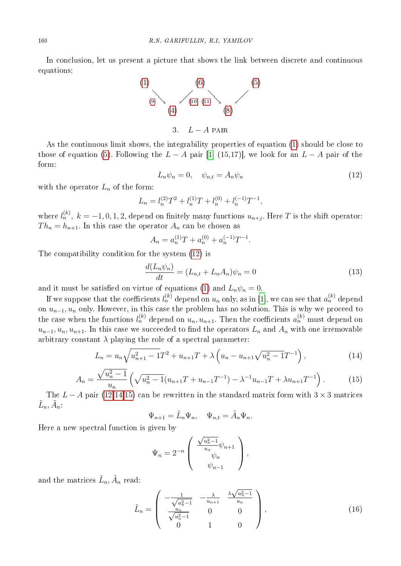In conclusion, let us present a picture that shows the link between discrete and continuous equations:



<span id="page-2-0"></span>As the continuous limit shows, the integrability properties of equation [\(1\)](#page-0-0) should be close to those of equation [\(5\)](#page-1-1). Following the  $L - A$  pair [\[1,](#page-5-1) (15,17)], we look for an  $L - A$  pair of the form:

<span id="page-2-1"></span>
$$
L_n \psi_n = 0, \quad \psi_{n,t} = A_n \psi_n \tag{12}
$$

with the operator  $L_n$  of the form:

$$
L_n = l_n^{(2)}T^2 + l_n^{(1)}T + l_n^{(0)} + l_n^{(-1)}T^{-1},
$$

where  $l_n^{(k)},\ k=-1,0,1,2,$  depend on finitely many functions  $u_{n+j}.$  Here  $T$  is the shift operator:  $Th_n = h_{n+1}$ . In this case the operator  $A_n$  can be chosen as

$$
A_n = a_n^{(1)}T + a_n^{(0)} + a_n^{(-1)}T^{-1}.
$$

The compatibility condition for the system [\(12\)](#page-2-1) is

<span id="page-2-4"></span>
$$
\frac{d(L_n\psi_n)}{dt} = (L_{n,t} + L_n A_n)\psi_n = 0
$$
\n(13)

and it must be satisfied on virtue of equations [\(1\)](#page-0-0) and  $L_n \psi_n = 0$ .

If we suppose that the coefficients  $l_n^{(k)}$  depend on  $u_n$  only, as in [\[1\]](#page-5-1), we can see that  $a_n^{(k)}$  depend on  $u_{n-1}$ ,  $u_n$  only. However, in this case the problem has no solution. This is why we proceed to the case when the functions  $l_n^{(k)}$  depend on  $u_n, u_{n+1}$ . Then the coefficients  $a_n^{(k)}$  must depend on  $u_{n-1}, u_n, u_{n+1}$ . In this case we succeeded to find the operators  $L_n$  and  $A_n$  with one irremovable arbitrary constant  $\lambda$  playing the role of a spectral parameter:

<span id="page-2-2"></span>
$$
L_n = u_n \sqrt{u_{n+1}^2 - 1} T^2 + u_{n+1} T + \lambda \left( u_n - u_{n+1} \sqrt{u_n^2 - 1} T^{-1} \right), \tag{14}
$$

<span id="page-2-3"></span>
$$
A_n = \frac{\sqrt{u_n^2 - 1}}{u_n} \left( \sqrt{u_n^2 - 1} (u_{n+1}T + u_{n-1}T^{-1}) - \lambda^{-1} u_{n-1}T + \lambda u_{n+1}T^{-1} \right).
$$
 (15)

The  $L - A$  pair [\(12](#page-2-1)[,14,](#page-2-2)[15\)](#page-2-3) can be rewritten in the standard matrix form with  $3 \times 3$  matrices  $\tilde{L}_n, \tilde{A}_n$ :

$$
\Psi_{n+1} = \tilde{L}_n \Psi_n, \quad \Psi_{n,t} = \tilde{A}_n \Psi_n.
$$

Here a new spectral function is given by

$$
\Psi_n = 2^{-n} \begin{pmatrix} \frac{\sqrt{u_n^2 - 1}}{u_n} \psi_{n+1} \\ \psi_n \\ \psi_{n-1} \end{pmatrix},
$$

and the matrices  $\tilde{L}_n, \tilde{A}_n$  read:

<span id="page-2-5"></span>
$$
\tilde{L}_n = \begin{pmatrix} -\frac{1}{\sqrt{u_n^2 - 1}} & -\frac{\lambda}{u_{n+1}} & \frac{\lambda \sqrt{u_n^2 - 1}}{u_n} \\ \frac{u_n}{\sqrt{u_n^2 - 1}} & 0 & 0 \\ 0 & 1 & 0 \end{pmatrix},
$$
\n(16)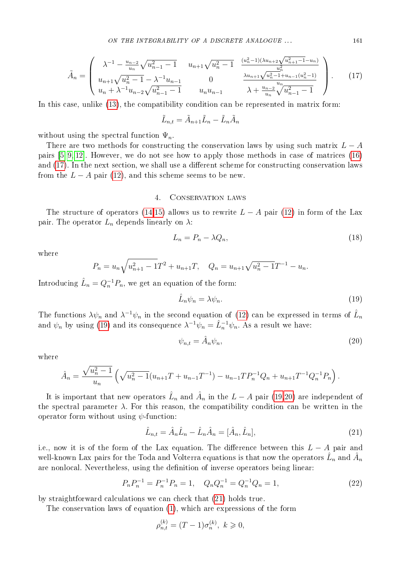<span id="page-3-1"></span>
$$
\tilde{A}_n = \begin{pmatrix}\n\lambda^{-1} - \frac{u_{n-2}}{u_n} \sqrt{u_{n-1}^2 - 1} & u_{n+1} \sqrt{u_n^2 - 1} & \frac{(u_n^2 - 1)(\lambda u_{n+2} \sqrt{u_{n+1}^2 - 1} - u_n)}{u_n^2} \\
u_{n+1} \sqrt{u_n^2 - 1} - \lambda^{-1} u_{n-1} & 0 & \frac{\lambda u_{n+1} \sqrt{u_n^2 - 1} + u_{n-1} (u_n^2 - 1)}{u_n} \\
u_n + \lambda^{-1} u_{n-2} \sqrt{u_{n-1}^2 - 1} & u_n u_{n-1} & \lambda + \frac{u_{n-2}}{u_n} \sqrt{u_{n-1}^2 - 1}\n\end{pmatrix}.
$$
\n(17)

In this case, unlike [\(13\)](#page-2-4), the compatibility condition can be represented in matrix form:

$$
\tilde{L}_{n,t} = \tilde{A}_{n+1}\tilde{L}_n - \tilde{L}_n\tilde{A}_n
$$

without using the spectral function  $\Psi_n$ .

There are two methods for constructing the conservation laws by using such matrix  $L - A$ pairs [\[5,](#page-5-2) [9,](#page-5-9) [12\]](#page-6-6). However, we do not see how to apply those methods in case of matrices [\(16\)](#page-2-5) and [\(17\)](#page-3-1). In the next section, we shall use a different scheme for constructing conservation laws from the  $L - A$  pair [\(12\)](#page-2-1), and this scheme seems to be new.

### 4. Conservation laws

<span id="page-3-0"></span>The structure of operators [\(14,](#page-2-2)[15\)](#page-2-3) allows us to rewrite  $L - A$  pair [\(12\)](#page-2-1) in form of the Lax pair. The operator  $L_n$  depends linearly on  $\lambda$ :

<span id="page-3-6"></span>
$$
L_n = P_n - \lambda Q_n,\tag{18}
$$

where

$$
P_n = u_n \sqrt{u_{n+1}^2 - 1} T^2 + u_{n+1} T, \quad Q_n = u_{n+1} \sqrt{u_n^2 - 1} T^{-1} - u_n.
$$

Introducing  $\hat{L}_n = Q_n^{-1} P_n$ , we get an equation of the form:

<span id="page-3-2"></span>
$$
\hat{L}_n \psi_n = \lambda \psi_n. \tag{19}
$$

The functions  $\lambda \psi_n$  and  $\lambda^{-1} \psi_n$  in the second equation of [\(12\)](#page-2-1) can be expressed in terms of  $\hat{L}_n$ and  $\psi_n$  by using [\(19\)](#page-3-2) and its consequence  $\lambda^{-1}\psi_n = \hat{L}_n^{-1}\psi_n$ . As a result we have:

<span id="page-3-3"></span>
$$
\psi_{n,t} = \hat{A}_n \psi_n,\tag{20}
$$

where

$$
\hat{A}_n = \frac{\sqrt{u_n^2 - 1}}{u_n} \left( \sqrt{u_n^2 - 1} (u_{n+1}T + u_{n-1}T^{-1}) - u_{n-1}T P_n^{-1} Q_n + u_{n+1}T^{-1} Q_n^{-1} P_n \right).
$$

It is important that new operators  $\hat{L}_n$  and  $\hat{A}_n$  in the  $L-A$  pair [\(19](#page-3-2)[,20\)](#page-3-3) are independent of the spectral parameter  $\lambda$ . For this reason, the compatibility condition can be written in the operator form without using  $\psi$ -function:

<span id="page-3-4"></span>
$$
\hat{L}_{n,t} = \hat{A}_n \hat{L}_n - \hat{L}_n \hat{A}_n = [\hat{A}_n, \hat{L}_n],
$$
\n(21)

i.e., now it is of the form of the Lax equation. The difference between this  $L - A$  pair and well-known Lax pairs for the Toda and Volterra equations is that now the operators  $\hat{L}_n$  and  $\hat{A}_n$ are nonlocal. Nevertheless, using the definition of inverse operators being linear:

<span id="page-3-5"></span>
$$
P_n P_n^{-1} = P_n^{-1} P_n = 1, \quad Q_n Q_n^{-1} = Q_n^{-1} Q_n = 1,\tag{22}
$$

by straightforward calculations we can check that [\(21\)](#page-3-4) holds true.

The conservation laws of equation [\(1\)](#page-0-0), which are expressions of the form

$$
\rho_{n,t}^{(k)} = (T - 1)\sigma_n^{(k)}, \ k \geq 0,
$$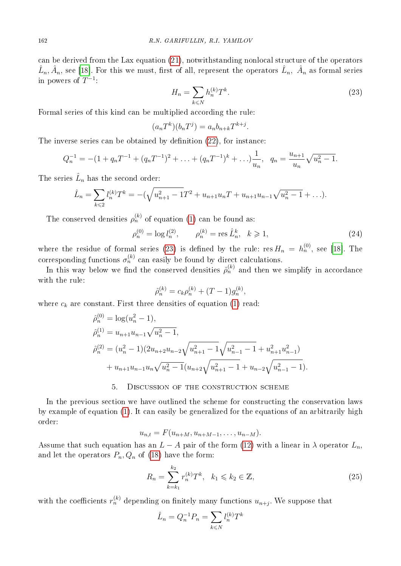can be derived from the Lax equation [\(21\)](#page-3-4), notwithstanding nonlocal structure of the operators  $\hat{L}_n, \hat{A}_n$ , see [\[18\]](#page-6-7). For this we must, first of all, represent the operators  $\hat{L}_n, \ \hat{A}_n$  as formal series in powers of  $T^{-1}$ :

<span id="page-4-1"></span>
$$
H_n = \sum_{k \le N} h_n^{(k)} T^k.
$$
\n
$$
(23)
$$

Formal series of this kind can be multiplied according the rule:

$$
(a_n T^k)(b_n T^j) = a_n b_{n+k} T^{k+j}.
$$

The inverse series can be obtained by definition [\(22\)](#page-3-5), for instance:

$$
Q_n^{-1} = -(1 + q_n T^{-1} + (q_n T^{-1})^2 + \ldots + (q_n T^{-1})^k + \ldots) \frac{1}{u_n}, \quad q_n = \frac{u_{n+1}}{u_n} \sqrt{u_n^2 - 1}.
$$

The series  $\hat{L}_n$  has the second order:

$$
\hat{L}_n = \sum_{k \leq 2} l_n^{(k)} T^k = -(\sqrt{u_{n+1}^2 - 1} T^2 + u_{n+1} u_n T + u_{n+1} u_{n-1} \sqrt{u_n^2 - 1} + \ldots).
$$

The conserved densities  $\rho_n^{(k)}$  of equation [\(1\)](#page-0-0) can be found as:

<span id="page-4-3"></span>
$$
\rho_n^{(0)} = \log l_n^{(2)}, \qquad \rho_n^{(k)} = \text{res } \hat{L}_n^k, \quad k \ge 1,
$$
\n(24)

where the residue of formal series [\(23\)](#page-4-1) is defined by the rule: res  $H_n = h_n^{(0)}$ , see [\[18\]](#page-6-7). The corresponding functions  $\sigma_n^{(k)}$  can easily be found by direct calculations.

In this way below we find the conserved densities  $\hat{\rho}_n^{(k)}$  and then we simplify in accordance with the rule:

$$
\hat{\rho}_n^{(k)} = c_k \rho_n^{(k)} + (T - 1)g_n^{(k)},
$$

where  $c_k$  are constant. First three densities of equation [\(1\)](#page-0-0) read:

$$
\hat{\rho}_n^{(0)} = \log(u_n^2 - 1),
$$
  
\n
$$
\hat{\rho}_n^{(1)} = u_{n+1}u_{n-1}\sqrt{u_n^2 - 1},
$$
  
\n
$$
\hat{\rho}_n^{(2)} = (u_n^2 - 1)(2u_{n+2}u_{n-2}\sqrt{u_{n+1}^2 - 1}\sqrt{u_{n-1}^2 - 1} + u_{n+1}^2u_{n-1}^2)
$$
  
\n
$$
+ u_{n+1}u_{n-1}u_n\sqrt{u_n^2 - 1}(u_{n+2}\sqrt{u_{n+1}^2 - 1} + u_{n-2}\sqrt{u_{n-1}^2 - 1}).
$$

## 5. Discussion of the construction scheme

<span id="page-4-0"></span>In the previous section we have outlined the scheme for constructing the conservation laws by example of equation [\(1\)](#page-0-0). It can easily be generalized for the equations of an arbitrarily high order:

$$
u_{n,t}=F(u_{n+M},u_{n+M-1},\ldots,u_{n-M}).
$$

Assume that such equation has an  $L - A$  pair of the form [\(12\)](#page-2-1) with a linear in  $\lambda$  operator  $L_n$ , and let the operators  $P_n, Q_n$  of [\(18\)](#page-3-6) have the form:

<span id="page-4-2"></span>
$$
R_n = \sum_{k=k_1}^{k_2} r_n^{(k)} T^k, \quad k_1 \leq k_2 \in \mathbb{Z},
$$
\n(25)

with the coefficients  $r_n^{(k)}$  depending on finitely many functions  $u_{n+j}$ . We suppose that

$$
\hat{L}_n = Q_n^{-1} P_n = \sum_{k \le N} l_n^{(k)} T^k
$$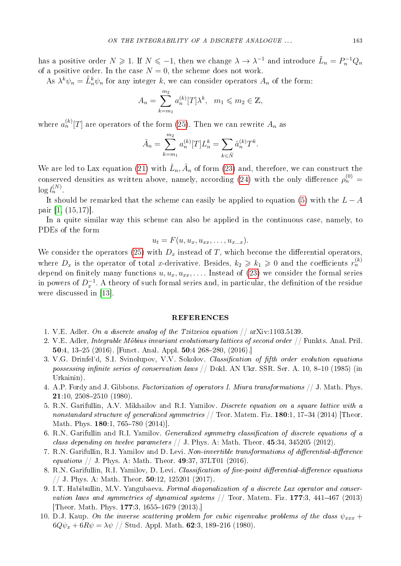has a positive order  $N \geq 1$ . If  $N \leq -1$ , then we change  $\lambda \to \lambda^{-1}$  and introduce  $\tilde{L}_n = P_n^{-1} Q_n$ of a positive order. In the case  $N = 0$ , the scheme does not work.

As  $\lambda^k \psi_n = \hat{L}_n^k \psi_n$  for any integer k, we can consider operators  $A_n$  of the form:

$$
A_n = \sum_{k=m_1}^{m_2} a_n^{(k)} [T] \lambda^k, \ \ m_1 \leq m_2 \in \mathbb{Z},
$$

where  $a_n^{(k)}[T]$  are operators of the form [\(25\)](#page-4-2). Then we can rewrite  $A_n$  as

$$
\hat{A}_n = \sum_{k=m_1}^{m_2} a_n^{(k)} [T] L_n^k = \sum_{k \le \hat{N}} \hat{a}_n^{(k)} T^k.
$$

We are led to Lax equation [\(21\)](#page-3-4) with  $\hat{L}_n, \hat{A}_n$  of form [\(23\)](#page-4-1) and, therefore, we can construct the conserved densities as written above, namely, according [\(24\)](#page-4-3) with the only difference  $\rho_n^{(0)} =$  $\log l_n^{(N)}.$ 

It should be remarked that the scheme can easily be applied to equation [\(5\)](#page-1-1) with the  $L - A$ pair [\[1,](#page-5-1) (15,17)].

In a quite similar way this scheme can also be applied in the continuous case, namely, to PDEs of the form

$$
u_t = F(u, u_x, u_{xx}, \dots, u_{x...x}).
$$

We consider the operators [\(25\)](#page-4-2) with  $D_x$  instead of T, which become the differential operators, where  $D_x$  is the operator of total x-derivative. Besides,  $k_2 \geqslant k_1 \geqslant 0$  and the coefficients  $r_n^{(k)}$ depend on finitely many functions  $u, u_x, u_{xx}, \ldots$  Instead of [\(23\)](#page-4-1) we consider the formal series in powers of  $D_x^{-1}$ . A theory of such formal series and, in particular, the definition of the residue were discussed in [\[13\]](#page-6-8).

#### REFERENCES

- <span id="page-5-1"></span>1. V.E. Adler. On a discrete analog of the Tzitzeica equation  $//$  arXiv:1103.5139.
- <span id="page-5-7"></span>2. V.E. Adler, Integrable Möbius invariant evolutionary lattices of second order  $//$  Funkts. Anal. Pril. 50:4, 13–25 (2016). [Funct. Anal. Appl. 50:4 268–280, (2016).]
- <span id="page-5-8"></span>3. V.G. Drinfel'd, S.I. Svinolupov, V.V. Sokolov. Classification of fifth order evolution equations possessing infinite series of conservation laws // Dokl. AN Ukr. SSR. Ser. A. 10, 8–10 (1985) (in Urkainin).
- <span id="page-5-5"></span>4. A.P. Fordy and J. Gibbons. Factorization of operators I. Miura transformations // J. Math. Phys. 21:10, 2508–2510 (1980).
- <span id="page-5-2"></span>5. R.N. Garifullin, A.V. Mikhailov and R.I. Yamilov. Discrete equation on a square lattice with a nonstandard structure of generalized symmetries  $//$  Teor. Matem. Fiz. 180:1, 17-34 (2014) [Theor. Math. Phys. 180:1, 765–780 (2014)].
- <span id="page-5-3"></span>6. R.N. Garifullin and R.I. Yamilov. Generalized symmetry classification of discrete equations of a class depending on twelve parameters  $// J. Phys. A: Math. Theor. 45:34, 345205 (2012).$
- <span id="page-5-4"></span>7. R.N. Garifullin, R.I. Yamilov and D. Levi. Non-invertible transformations of differential-difference *equations* // J. Phys. A: Math. Theor. 49:37, 37LT01 (2016).
- <span id="page-5-0"></span>8. R.N. Garifullin, R.I. Yamilov, D. Levi. Classification of five-point differential-difference equations // J. Phys. A: Math. Theor.  $50.12$ ,  $125201$  (2017).
- <span id="page-5-9"></span>9. I.T. Habibullin, M.V. Yangubaeva. Formal diagonalization of a discrete Lax operator and conservation laws and symmetries of dynamical systems // Teor. Matem. Fiz. 177:3, 441-467 (2013) [Theor. Math. Phys. 177:3, 1655–1679 (2013).]
- <span id="page-5-6"></span>10. D.J. Kaup. On the inverse scattering problem for cubic eigenvalue problems of the class  $\psi_{xxx}$  +  $6Q\psi_x + 6R\psi = \lambda \psi$  // Stud. Appl. Math. 62:3, 189-216 (1980).